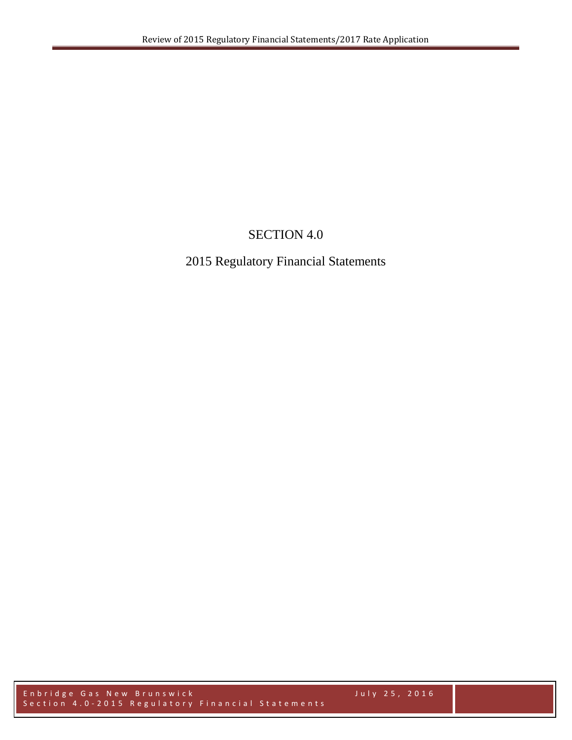# SECTION 4.0

# 2015 Regulatory Financial Statements

Enbr idge Gas New Brunswick July 2 5 , 2016 Section 4.0-2015 Regulatory Financial Statements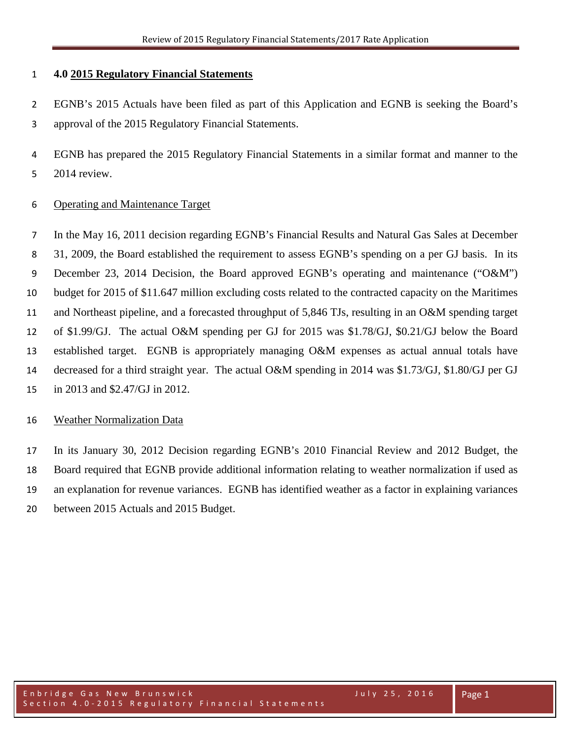#### **4.0 2015 Regulatory Financial Statements**

 EGNB's 2015 Actuals have been filed as part of this Application and EGNB is seeking the Board's approval of the 2015 Regulatory Financial Statements.

- EGNB has prepared the 2015 Regulatory Financial Statements in a similar format and manner to the
- 2014 review.

## Operating and Maintenance Target

 In the May 16, 2011 decision regarding EGNB's Financial Results and Natural Gas Sales at December 31, 2009, the Board established the requirement to assess EGNB's spending on a per GJ basis. In its December 23, 2014 Decision, the Board approved EGNB's operating and maintenance ("O&M") budget for 2015 of \$11.647 million excluding costs related to the contracted capacity on the Maritimes and Northeast pipeline, and a forecasted throughput of 5,846 TJs, resulting in an O&M spending target of \$1.99/GJ. The actual O&M spending per GJ for 2015 was \$1.78/GJ, \$0.21/GJ below the Board established target. EGNB is appropriately managing O&M expenses as actual annual totals have decreased for a third straight year. The actual O&M spending in 2014 was \$1.73/GJ, \$1.80/GJ per GJ in 2013 and \$2.47/GJ in 2012.

## Weather Normalization Data

 In its January 30, 2012 Decision regarding EGNB's 2010 Financial Review and 2012 Budget, the Board required that EGNB provide additional information relating to weather normalization if used as an explanation for revenue variances. EGNB has identified weather as a factor in explaining variances between 2015 Actuals and 2015 Budget.